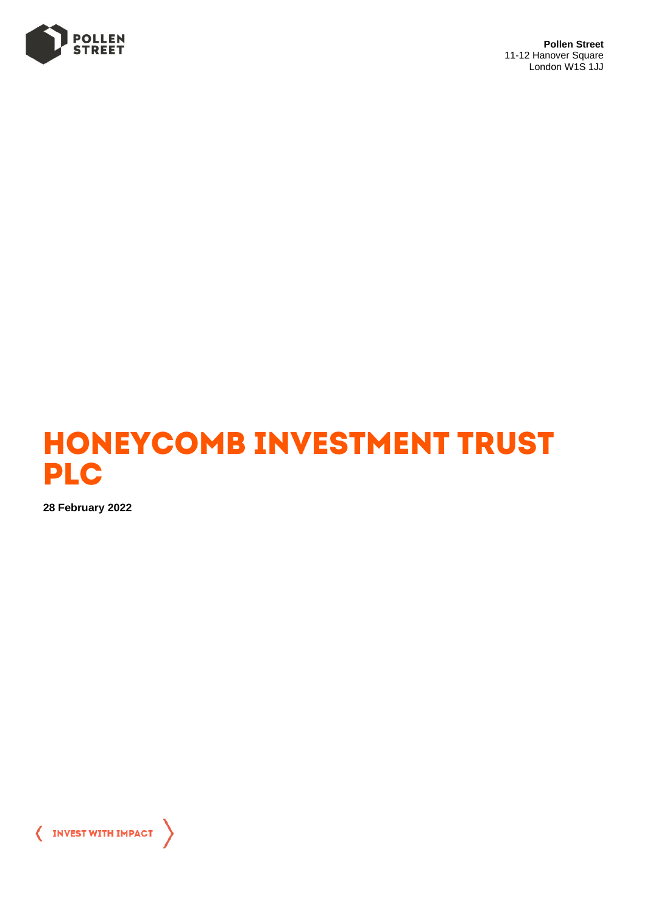

**Pollen Street** 11-12 Hanover Square London W1S 1JJ



**28 February 2022**

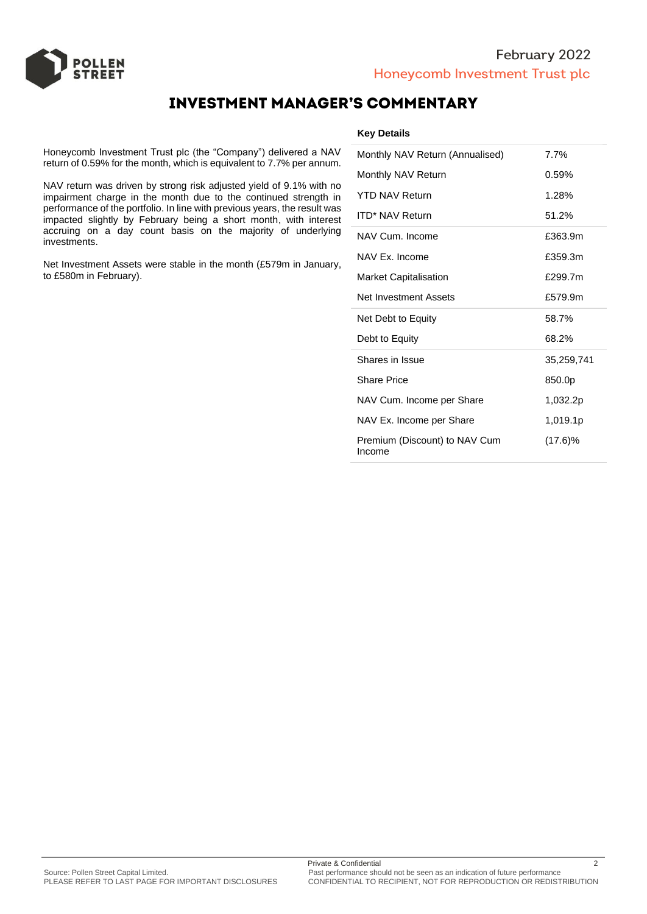



## **INVESTMENT MANAGER'S COMMENTARY**

Honeycomb Investment Trust plc (the "Company") delivered a NAV return of 0.59% for the month, which is equivalent to 7.7% per annum.

NAV return was driven by strong risk adjusted yield of 9.1% with no impairment charge in the month due to the continued strength in performance of the portfolio. In line with previous years, the result was impacted slightly by February being a short month, with interest accruing on a day count basis on the majority of underlying investments.

Net Investment Assets were stable in the month (£579m in January, to £580m in February).

### **Key Details**

| Monthly NAV Return (Annualised) | 7.7%       |
|---------------------------------|------------|
| Monthly NAV Return              | 0.59%      |
| <b>YTD NAV Return</b>           | 1.28%      |
| <b>ITD* NAV Return</b>          | 51.2%      |
| NAV Cum. Income                 | £363.9m    |
| NAV Ex. Income                  | £359.3m    |
| <b>Market Capitalisation</b>    | £299.7m    |
| Net Investment Assets           | £579.9m    |
|                                 |            |
| Net Debt to Equity              | 58.7%      |
| Debt to Equity                  | 68.2%      |
| Shares in Issue                 | 35,259,741 |
| <b>Share Price</b>              | 850.0p     |
| NAV Cum. Income per Share       | 1,032.2p   |
| NAV Ex. Income per Share        | 1,019.1p   |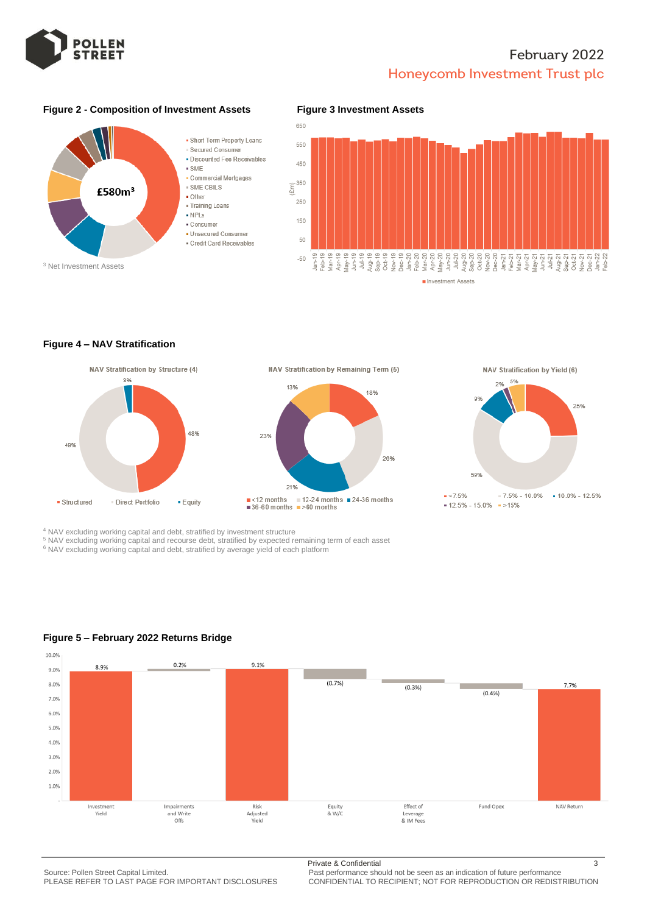

# February 2022 Honeycomb Investment Trust plc

### **Figure 2 - Composition of Investment Assets Figure 3 Investment Assets**





### **Figure 4 – NAV Stratification**



13% 18% 23% 26% 21%  $\blacksquare$  <12 months  $\blacksquare$  12-24 months  $\blacksquare$  24-36 months<br> $\blacksquare$  36-60 months  $\blacksquare$  >60 months

NAV Stratification by Remaining Term (5)



 $\le 7.5%$  $-7.5% - 10.0%$  $10.0\% - 12.5\%$  $-12.5\% - 15.0\% - 15\%$ 

<sup>4</sup> NAV excluding working capital and debt, stratified by investment structure

<sup>5</sup> NAV excluding working capital and recourse debt, stratified by expected remaining term of each asset

<sup>6</sup> NAV excluding working capital and debt, stratified by average yield of each platform



## **Figure 5 – February 2022 Returns Bridge**

Source: Pollen Street Capital Limited. Past performance should not be seen as an indication of future performance<br>PLEASE REFER TO LAST PAGE FOR IMPORTANT DISCLOSURES CONFIDENTIAL TO RECIPIENT: NOT FOR REPRODUCTION OR REDIS

Private & Confidential 3

PLEASE REFER TO LAST PAGE FOR IMPORTANT DISCLOSURES CONFIDENTIAL TO RECIPIENT; NOT FOR REPRODUCTION OR REDISTRIBUTION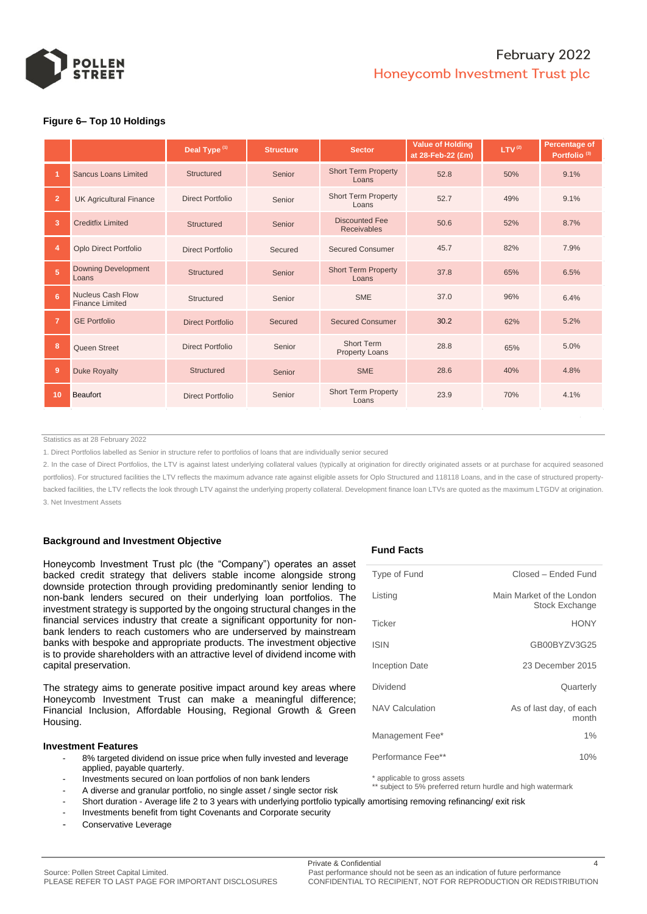

## February 2022 Honeycomb Investment Trust plc

### **Figure 6– Top 10 Holdings**

|                |                                             | Deal Type <sup>(1)</sup> | <b>Structure</b> | <b>Sector</b>                               | <b>Value of Holding</b><br>at 28-Feb-22 (£m) | LTV <sup>(2)</sup> | Percentage of<br>Portfolio <sup>(3)</sup> |  |
|----------------|---------------------------------------------|--------------------------|------------------|---------------------------------------------|----------------------------------------------|--------------------|-------------------------------------------|--|
|                | <b>Sancus Loans Limited</b>                 | <b>Structured</b>        | Senior           | <b>Short Term Property</b><br>Loans         | 52.8                                         | 50%                | 9.1%                                      |  |
| $\overline{2}$ | <b>UK Agricultural Finance</b>              | Direct Portfolio         | Senior           | <b>Short Term Property</b><br>Loans         | 52.7                                         | 49%                | 9.1%                                      |  |
| 3              | <b>Creditfix Limited</b>                    | <b>Structured</b>        | Senior           | <b>Discounted Fee</b><br><b>Receivables</b> | 50.6                                         | 52%                | 8.7%                                      |  |
| $\overline{4}$ | <b>Oplo Direct Portfolio</b>                | Direct Portfolio         | Secured          | <b>Secured Consumer</b>                     | 45.7                                         | 82%                | 7.9%                                      |  |
| 5 <sup>5</sup> | <b>Downing Development</b><br>Loans         | Structured               | Senior           | <b>Short Term Property</b><br>Loans         | 37.8                                         | 65%                | 6.5%                                      |  |
| 6              | Nucleus Cash Flow<br><b>Finance Limited</b> | Structured               | Senior           | <b>SME</b>                                  | 37.0                                         | 96%                | 6.4%                                      |  |
| 7              | <b>GE Portfolio</b>                         | Direct Portfolio         | Secured          | <b>Secured Consumer</b>                     | 30.2                                         | 62%                | 5.2%                                      |  |
| 8              | Queen Street                                | Direct Portfolio         | Senior           | <b>Short Term</b><br><b>Property Loans</b>  | 28.8                                         | 65%                | 5.0%                                      |  |
| 9              | <b>Duke Royalty</b>                         | <b>Structured</b>        | Senior           | <b>SME</b>                                  | 28.6                                         | 40%                | 4.8%                                      |  |
| 10             | <b>Beaufort</b>                             | <b>Direct Portfolio</b>  | Senior           | <b>Short Term Property</b><br>Loans         | 23.9                                         | 70%                | 4.1%                                      |  |
|                |                                             |                          |                  |                                             |                                              |                    |                                           |  |

Statistics as at 28 February 2022

1. Direct Portfolios labelled as Senior in structure refer to portfolios of loans that are individually senior secured

2. In the case of Direct Portfolios, the LTV is against latest underlying collateral values (typically at origination for directly originated assets or at purchase for acquired seasoned portfolios). For structured facilities the LTV reflects the maximum advance rate against eligible assets for Oplo Structured and 118118 Loans, and in the case of structured propertybacked facilities, the LTV reflects the look through LTV against the underlying property collateral. Development finance loan LTVs are quoted as the maximum LTGDV at origination. 3. Net Investment Assets

#### **Background and Investment Objective**

Honeycomb Investment Trust plc (the "Company") operates an asset backed credit strategy that delivers stable income alongside strong downside protection through providing predominantly senior lending to non-bank lenders secured on their underlying loan portfolios. The investment strategy is supported by the ongoing structural changes in the financial services industry that create a significant opportunity for nonbank lenders to reach customers who are underserved by mainstream banks with bespoke and appropriate products. The investment objective is to provide shareholders with an attractive level of dividend income with capital preservation.

The strategy aims to generate positive impact around key areas where Honeycomb Investment Trust can make a meaningful difference; Financial Inclusion, Affordable Housing, Regional Growth & Green Housing.

#### **Investment Features**

- 8% targeted dividend on issue price when fully invested and leverage applied, payable quarterly.
- Investments secured on loan portfolios of non bank lenders
- A diverse and granular portfolio, no single asset / single sector risk
- Short duration Average life 2 to 3 years with underlying portfolio typically amortising removing refinancing/ exit risk
- Investments benefit from tight Covenants and Corporate security
- Conservative Leverage

#### **Fund Facts**

| Type of Fund           | Closed - Ended Fund                                |
|------------------------|----------------------------------------------------|
| Listing                | Main Market of the London<br><b>Stock Exchange</b> |
| Ticker                 | <b>HONY</b>                                        |
| <b>ISIN</b>            | GB00BYZV3G25                                       |
| <b>Inception Date</b>  | 23 December 2015                                   |
| Dividend               | Quarterly                                          |
| <b>NAV Calculation</b> | As of last day, of each<br>month                   |
| Management Fee*        | $1\%$                                              |
| Performance Fee**      | 10%                                                |
|                        |                                                    |

\* applicable to gross assets

\*\* subject to 5% preferred return hurdle and high watermark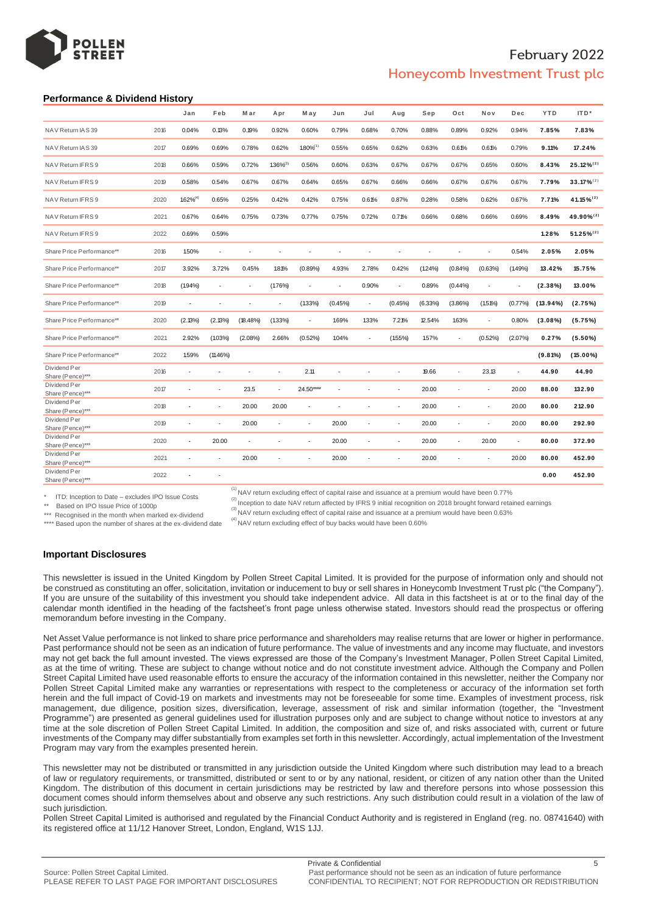

## February 2022 Honeycomb Investment Trust plc

#### **Performance & Dividend History**

|      | Jan            | Feb        | M ar        | Apr            | M ay           | Jun     | Jul    | Aug     | Sep        | Oct        | Nov        | Dec     | <b>YTD</b>  | ITD*            |
|------|----------------|------------|-------------|----------------|----------------|---------|--------|---------|------------|------------|------------|---------|-------------|-----------------|
| 2016 | 0.04%          | 0.13%      | 0.19%       | 0.92%          | 0.60%          | 0.79%   | 0.68%  | 0.70%   | 0.88%      | 0.89%      | 0.92%      | 0.94%   | 7.85%       | 7.83%           |
| 2017 | 0.69%          | 0.69%      | 0.78%       | 0.62%          | $1.80\%^{(1)}$ | 0.55%   | 0.65%  | 0.62%   | 0.63%      | 0.61%      | 0.61%      | 0.79%   | 9.11%       | 17.24%          |
| 2018 | 0.66%          | 0.59%      | 0.72%       | $1.36\%^{(3)}$ | 0.56%          | 0.60%   | 0.63%  | 0.67%   | 0.67%      | 0.67%      | 0.65%      | 0.60%   | 8.43%       | $25.12\%^{(2)}$ |
| 2019 | 0.58%          | 0.54%      | 0.67%       | 0.67%          | 0.64%          | 0.65%   | 0.67%  | 0.66%   | 0.66%      | 0.67%      | 0.67%      | 0.67%   | 7.79%       | $33.17\%^{(2)}$ |
| 2020 | $1.62\%^{(4)}$ | 0.65%      | 0.25%       | 0.42%          | 0.42%          | 0.75%   | 0.61%  | 0.87%   | 0.28%      | 0.58%      | 0.62%      | 0.67%   | 7.71%       | 41.15%(2)       |
| 2021 | 0.67%          | 0.64%      | 0.75%       | 0.73%          | 0.77%          | 0.75%   | 0.72%  | 0.71%   | 0.66%      | 0.68%      | 0.66%      | 0.69%   | 8.49%       | 49.90%(2)       |
| 2022 | 0.69%          | 0.59%      |             |                |                |         |        |         |            |            |            |         | 1.28%       | $51.25\%^{(2)}$ |
| 2016 | 1.50%          | ÷,         |             |                |                |         |        |         |            |            |            | 0.54%   | 2.05%       | 2.05%           |
| 2017 | 3.92%          | 3.72%      | 0.45%       | 1.81%          | (0.89%         | 4.93%   | 2.78%  | 0.42%   | (124%)     | (0.84%     | (0.63%     | (1.49%  | 13.42%      | 15.75%          |
| 2018 | $(1.94\%)$     | $\sim$     | ÷.          | (1.76%)        | ÷.             | ×.      | 0.90%  | $\sim$  | 0.89%      | $(0.44\%)$ | ÷.         | $\sim$  | (2.38%)     | 13.00%          |
| 2019 | $\sim$         | ٠          | ä,          |                | $(1.33\%)$     | (0.45%) | $\sim$ | (0.45%) | $(6.33\%)$ | $(3.86\%)$ | $(1.51\%)$ | (0.77%  | $(13.94\%)$ | (2.75%)         |
| 2020 | (2.13%)        | (2.13%)    | $(18.48\%)$ | $(1.33\%)$     | $\sim$         | 1.69%   | 1.33%  | 7.21%   | 12.54%     | 1.63%      | $\sim$     | 0.80%   | $(3.08\%)$  | (5.75%)         |
| 2021 | 2.92%          | $(1.03\%)$ | (2.08%)     | 2.66%          | $(0.52\%)$     | 1.04%   |        | (155%)  | 157%       |            | $(0.52\%)$ | (2.07%) | 0.27%       | $(5.50\%)$      |
| 2022 | 1.59%          | (11.46%)   |             |                |                |         |        |         |            |            |            |         | (9.81%)     | $(15.00\%)$     |
| 2016 |                |            |             |                | 2.11           | ÷       |        | ÷       | 19.66      | ł,         | 23.13      | ٠       | 44.90       | 44.90           |
| 2017 |                |            | 23.5        | ×              | 24.50****      | ÷,      |        |         | 20.00      | í.         | ÷          | 20.00   | 88.00       | 132.90          |
| 2018 |                |            | 20.00       | 20.00          | ٠              | ٠       |        | ÷       | 20.00      | ä          | ÷          | 20.00   | 80.00       | 212.90          |
| 2019 |                | ×.         | 20.00       | ÷.             | ×.             | 20.00   | ÷.     | $\sim$  | 20.00      | ä,         | ä,         | 20.00   | 80.00       | 292.90          |
| 2020 |                | 20.00      | ٠           |                | ٠              | 20.00   | ٠      | ٠       | 20.00      | ٠          | 20.00      | ×,      | 80.00       | 372.90          |
| 2021 |                |            | 20.00       |                |                | 20.00   | ٠      | ÷       | 20.00      | ä,         | ٠          | 20.00   | 80.00       | 452.90          |
| 2022 |                |            |             |                |                |         |        |         |            |            |            |         | 0.00        | 452.90          |
|      |                |            |             |                |                |         |        |         |            |            |            |         |             |                 |

\* ITD: Inception to Date – excludes IPO Issue Costs \*\* Based on IPO Issue Price of 1000p

 $\alpha^{(1)}$ NAV return excluding effect of capital raise and issuance at a premium would have been 0.77% <sup>(2)</sup> Inception to date NAV return affected by IFRS 9 initial recognition on 2018 brought forward retained earnings

\*\*\* Recognised in the month when marked ex-dividend

 $\alpha^{(3)}$  NAV return excluding effect of capital raise and issuance at a premium would have been 0.63%

\*\*\*\* Based upon the number of shares at the ex-dividend date

 $<sup>(4)</sup>$  NAV return excluding effect of buy backs would have been 0.60%</sup>

#### **Important Disclosures**

This newsletter is issued in the United Kingdom by Pollen Street Capital Limited. It is provided for the purpose of information only and should not be construed as constituting an offer, solicitation, invitation or inducement to buy or sell shares in Honeycomb Investment Trust plc ("the Company"). If you are unsure of the suitability of this investment you should take independent advice. All data in this factsheet is at or to the final day of the calendar month identified in the heading of the factsheet's front page unless otherwise stated. Investors should read the prospectus or offering memorandum before investing in the Company.

Net Asset Value performance is not linked to share price performance and shareholders may realise returns that are lower or higher in performance. Past performance should not be seen as an indication of future performance. The value of investments and any income may fluctuate, and investors may not get back the full amount invested. The views expressed are those of the Company's Investment Manager, Pollen Street Capital Limited, as at the time of writing. These are subject to change without notice and do not constitute investment advice. Although the Company and Pollen Street Capital Limited have used reasonable efforts to ensure the accuracy of the information contained in this newsletter, neither the Company nor Pollen Street Capital Limited make any warranties or representations with respect to the completeness or accuracy of the information set forth herein and the full impact of Covid-19 on markets and investments may not be foreseeable for some time. Examples of investment process, risk management, due diligence, position sizes, diversification, leverage, assessment of risk and similar information (together, the "Investment Programme") are presented as general guidelines used for illustration purposes only and are subject to change without notice to investors at any time at the sole discretion of Pollen Street Capital Limited. In addition, the composition and size of, and risks associated with, current or future investments of the Company may differ substantially from examples set forth in this newsletter. Accordingly, actual implementation of the Investment Program may vary from the examples presented herein.

This newsletter may not be distributed or transmitted in any jurisdiction outside the United Kingdom where such distribution may lead to a breach of law or regulatory requirements, or transmitted, distributed or sent to or by any national, resident, or citizen of any nation other than the United Kingdom. The distribution of this document in certain jurisdictions may be restricted by law and therefore persons into whose possession this document comes should inform themselves about and observe any such restrictions. Any such distribution could result in a violation of the law of such jurisdiction.

Pollen Street Capital Limited is authorised and regulated by the Financial Conduct Authority and is registered in England (reg. no. 08741640) with its registered office at 11/12 Hanover Street, London, England, W1S 1JJ.